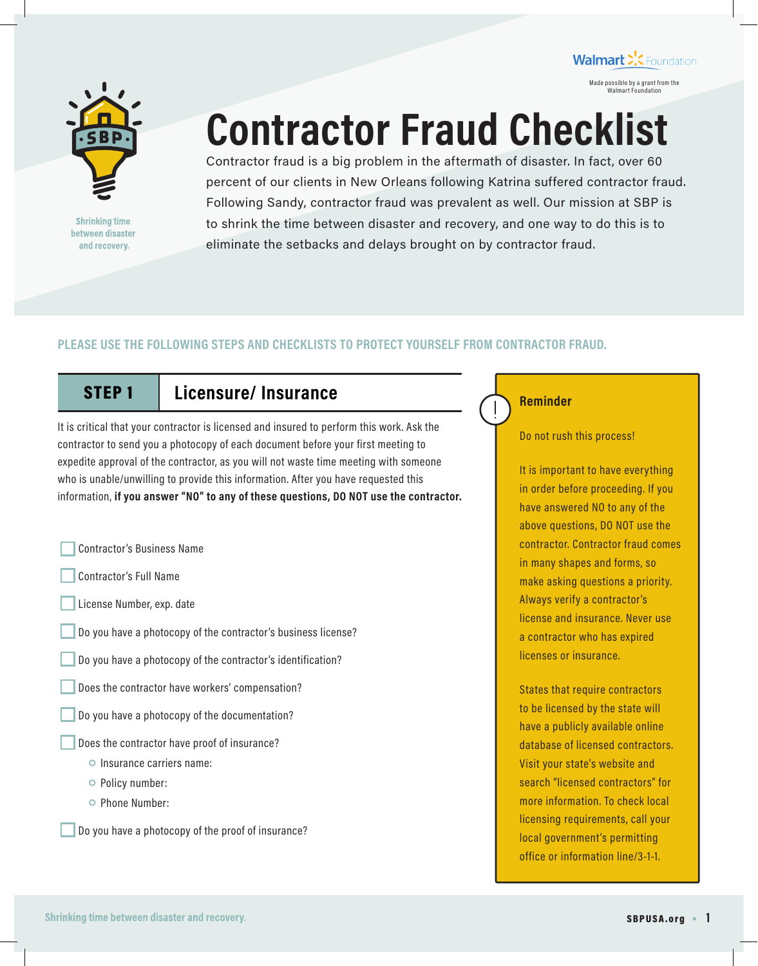

**Shrinking time** between disaster and recovery.

# **Contractor Fraud Checklist**

Contractor fraud is a big problem in the aftermath of disaster. In fact, over 60 percent of our clients in New Orleans following Katrina suffered contractor fraud. Following Sandy, contractor fraud was prevalent as well. Our mission at SBP is to shrink the time between disaster and recovery, and one way to do this is to eliminate the setbacks and delays brought on by contractor fraud.

## **PLEASE USE THE FOLLOWING STEPS AND CHECKLISTS TO PROTECT YOURSELF FROM CONTRACTOR FRAUD.**

# STEP 1 **Licensure/ Insurance**

It is critical that your contractor is licensed and insured to perform this work. Ask the contractor to send you a photocopy of each document before your first meeting to expedite approval of the contractor, as you will not waste time meeting with someone who is unable/unwilling to provide this information. After you have requested this information, **if you answer "NO" to any of these questions, DO NOT use the contractor.**

Contractor's Business Name

- Contractor's Full Name
- License Number, exp. date
- Do you have a photocopy of the contractor's business license?
- Do you have a photocopy of the contractor's identification?
- Does the contractor have workers' compensation?
- Do you have a photocopy of the documentation?
	- Does the contractor have proof of insurance?
		- $\circ$  Insurance carriers name:
		- Policy number:
		- O Phone Number:

Do you have a photocopy of the proof of insurance?

## **Reminder**

Do not rush this process!

Made possible by a grant from the Walmart Foundation

Walmart >'.< Foundation

It is important to have everything in order before proceeding. If you have answered NO to any of the above questions, DO NOT use the contractor. Contractor fraud comes in many shapes and forms, so make asking questions a priority. Always verify a contractor's license and insurance. Never use a contractor who has expired licenses or insurance.

States that require contractors to be licensed by the state will have a publicly available online database of licensed contractors. Visit your state's website and search "licensed contractors" for more information. To check local licensing requirements, call your local government's permitting office or information line/3-1-1.